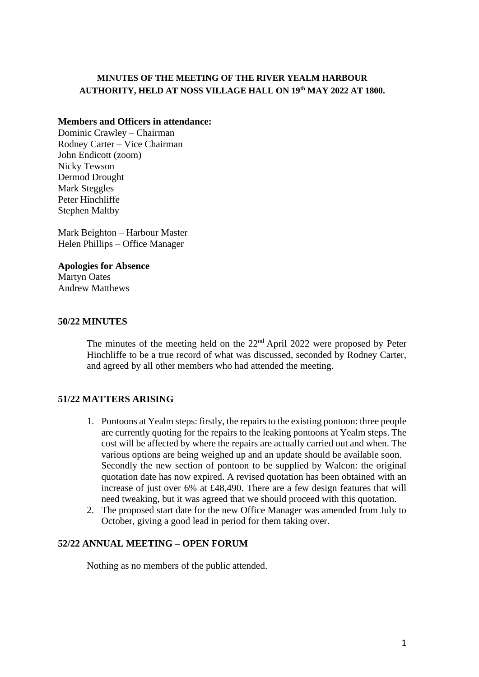### **MINUTES OF THE MEETING OF THE RIVER YEALM HARBOUR AUTHORITY, HELD AT NOSS VILLAGE HALL ON 19th MAY 2022 AT 1800.**

#### **Members and Officers in attendance:**

Dominic Crawley – Chairman Rodney Carter – Vice Chairman John Endicott (zoom) Nicky Tewson Dermod Drought Mark Steggles Peter Hinchliffe Stephen Maltby

Mark Beighton – Harbour Master Helen Phillips – Office Manager

**Apologies for Absence** Martyn Oates Andrew Matthews

### **50/22 MINUTES**

The minutes of the meeting held on the  $22<sup>nd</sup>$  April 2022 were proposed by Peter Hinchliffe to be a true record of what was discussed, seconded by Rodney Carter, and agreed by all other members who had attended the meeting.

## **51/22 MATTERS ARISING**

- 1. Pontoons at Yealm steps: firstly, the repairs to the existing pontoon: three people are currently quoting for the repairs to the leaking pontoons at Yealm steps. The cost will be affected by where the repairs are actually carried out and when. The various options are being weighed up and an update should be available soon. Secondly the new section of pontoon to be supplied by Walcon: the original quotation date has now expired. A revised quotation has been obtained with an increase of just over 6% at £48,490. There are a few design features that will need tweaking, but it was agreed that we should proceed with this quotation.
- 2. The proposed start date for the new Office Manager was amended from July to October, giving a good lead in period for them taking over.

## **52/22 ANNUAL MEETING – OPEN FORUM**

Nothing as no members of the public attended.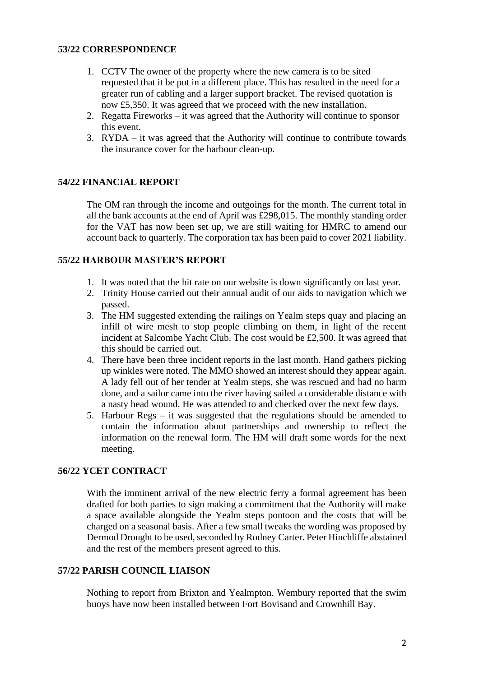### **53/22 CORRESPONDENCE**

- 1. CCTV The owner of the property where the new camera is to be sited requested that it be put in a different place. This has resulted in the need for a greater run of cabling and a larger support bracket. The revised quotation is now £5,350. It was agreed that we proceed with the new installation.
- 2. Regatta Fireworks it was agreed that the Authority will continue to sponsor this event.
- 3. RYDA it was agreed that the Authority will continue to contribute towards the insurance cover for the harbour clean-up.

# **54/22 FINANCIAL REPORT**

The OM ran through the income and outgoings for the month. The current total in all the bank accounts at the end of April was £298,015. The monthly standing order for the VAT has now been set up, we are still waiting for HMRC to amend our account back to quarterly. The corporation tax has been paid to cover 2021 liability.

### **55/22 HARBOUR MASTER'S REPORT**

- 1. It was noted that the hit rate on our website is down significantly on last year.
- 2. Trinity House carried out their annual audit of our aids to navigation which we passed.
- 3. The HM suggested extending the railings on Yealm steps quay and placing an infill of wire mesh to stop people climbing on them, in light of the recent incident at Salcombe Yacht Club. The cost would be £2,500. It was agreed that this should be carried out.
- 4. There have been three incident reports in the last month. Hand gathers picking up winkles were noted. The MMO showed an interest should they appear again. A lady fell out of her tender at Yealm steps, she was rescued and had no harm done, and a sailor came into the river having sailed a considerable distance with a nasty head wound. He was attended to and checked over the next few days.
- 5. Harbour Regs it was suggested that the regulations should be amended to contain the information about partnerships and ownership to reflect the information on the renewal form. The HM will draft some words for the next meeting.

## **56/22 YCET CONTRACT**

With the imminent arrival of the new electric ferry a formal agreement has been drafted for both parties to sign making a commitment that the Authority will make a space available alongside the Yealm steps pontoon and the costs that will be charged on a seasonal basis. After a few small tweaks the wording was proposed by Dermod Drought to be used, seconded by Rodney Carter. Peter Hinchliffe abstained and the rest of the members present agreed to this.

### **57/22 PARISH COUNCIL LIAISON**

Nothing to report from Brixton and Yealmpton. Wembury reported that the swim buoys have now been installed between Fort Bovisand and Crownhill Bay.